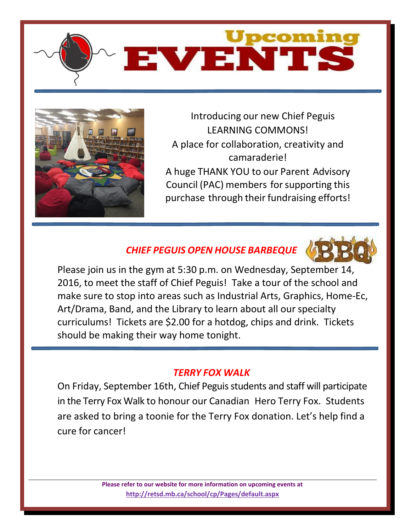



Introducing our new Chief Peguis LEARNING COMMONS! A place for collaboration, creativity and camaraderie! A huge THANK YOU to our Parent Advisory Council (PAC) members for supporting this purchase through their fundraising efforts!

# *CHIEF PEGUIS OPEN HOUSE BARBEQUE*



Please join us in the gym at 5:30 p.m. on Wednesday, September 14, 2016, to meet the staff of Chief Peguis! Take a tour of the school and make sure to stop into areas such as Industrial Arts, Graphics, Home-Ec, Art/Drama, Band, and the Library to learn about all our specialty curriculums! Tickets are \$2.00 for a hotdog, chips and drink. Tickets should be making their way home tonight.

#### *TERRY FOX WALK*

On Friday, September 16th, Chief Peguis students and staff will participate in the Terry Fox Walk to honour our Canadian Hero Terry Fox. Students are asked to bring a toonie for the Terry Fox donation. Let's help find a cure for cancer!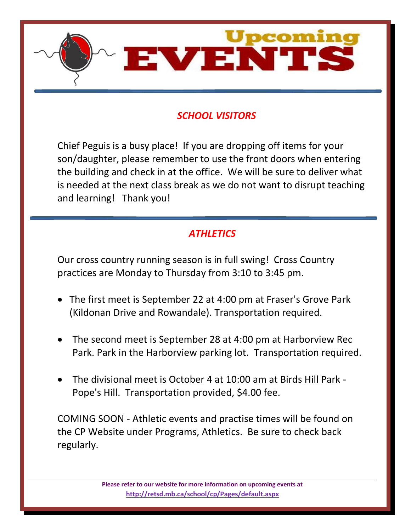

## *SCHOOL VISITORS*

Chief Peguis is a busy place! If you are dropping off items for your son/daughter, please remember to use the front doors when entering the building and check in at the office. We will be sure to deliver what is needed at the next class break as we do not want to disrupt teaching and learning! Thank you!

### *ATHLETICS*

Our cross country running season is in full swing! Cross Country practices are Monday to Thursday from 3:10 to 3:45 pm.

- The first meet is September 22 at 4:00 pm at Fraser's Grove Park (Kildonan Drive and Rowandale). Transportation required.
- The second meet is September 28 at 4:00 pm at Harborview Rec Park. Park in the Harborview parking lot. Transportation required.
- The divisional meet is October 4 at 10:00 am at Birds Hill Park Pope's Hill. Transportation provided, \$4.00 fee.

COMING SOON - Athletic events and practise times will be found on the CP Website under Programs, Athletics. Be sure to check back regularly.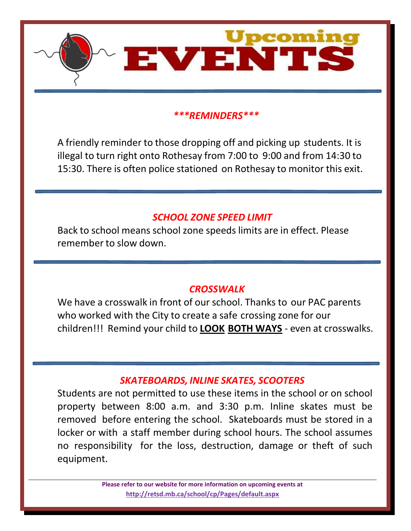

#### *\*\*\*REMINDERS\*\*\**

A friendly reminder to those dropping off and picking up students. It is illegal to turn right onto Rothesay from 7:00 to 9:00 and from 14:30 to 15:30. There is often police stationed on Rothesay to monitor this exit.

#### *SCHOOL ZONE SPEED LIMIT*

Back to school means school zone speeds limits are in effect. Please remember to slow down.

#### *CROSSWALK*

We have a crosswalk in front of our school. Thanks to our PAC parents who worked with the City to create a safe crossing zone for our children!!! Remind your child to **LOOK BOTH WAYS** - even at crosswalks.

#### *SKATEBOARDS, INLINE SKATES, SCOOTERS*

Students are not permitted to use these items in the school or on school property between 8:00 a.m. and 3:30 p.m. Inline skates must be removed before entering the school. Skateboards must be stored in a locker or with a staff member during school hours. The school assumes no responsibility for the loss, destruction, damage or theft of such equipment.

> **Please refer to our website for more information on upcoming events at <http://retsd.mb.ca/school/cp/Pages/default.aspx>**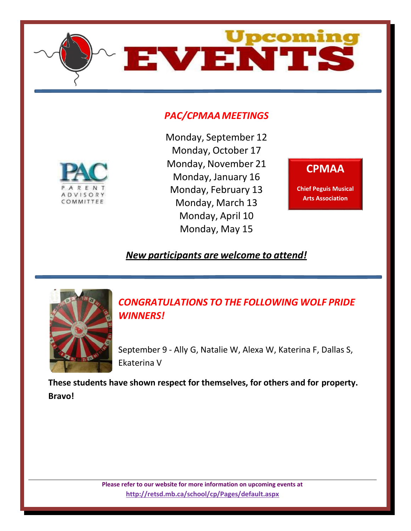

### *PAC/CPMAAMEETINGS*



Monday, September 12 Monday, October 17 Monday, November 21 Monday, January 16 Monday, February 13 Monday, March 13 Monday, April 10 Monday, May 15

#### **CPMAA**

**Chief Peguis Musical Arts Association**

### *New participants are welcome to attend!*



*CONGRATULATIONS TO THE FOLLOWING WOLF PRIDE WINNERS!*

September 9 - Ally G, Natalie W, Alexa W, Katerina F, Dallas S, Ekaterina V

**These students have shown respect for themselves, for others and for property. Bravo!**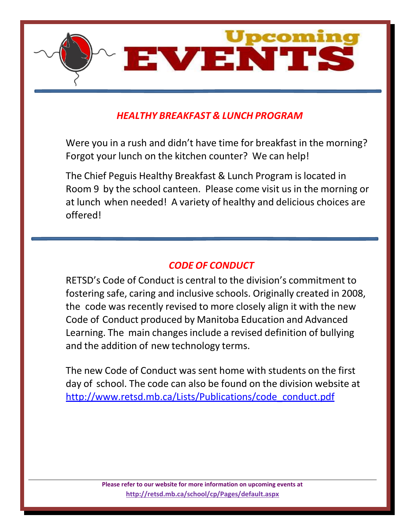

## *HEALTHY BREAKFAST & LUNCH PROGRAM*

Were you in a rush and didn't have time for breakfast in the morning? Forgot your lunch on the kitchen counter? We can help!

The Chief Peguis Healthy Breakfast & Lunch Program islocated in Room 9 by the school canteen. Please come visit us in the morning or at lunch when needed! A variety of healthy and delicious choices are offered!

#### *CODE OF CONDUCT*

RETSD's Code of Conduct is central to the division's commitment to fostering safe, caring and inclusive schools. Originally created in 2008, the code was recently revised to more closely align it with the new Code of Conduct produced by Manitoba Education and Advanced Learning. The main changes include a revised definition of bullying and the addition of new technology terms.

The new Code of Conduct was sent home with students on the first day of school. The code can also be found on the division website at [http://www.retsd.mb.ca/Lists/Publications/code\\_conduct.pdf](http://www.retsd.mb.ca/Lists/Publications/code_conduct.pdf)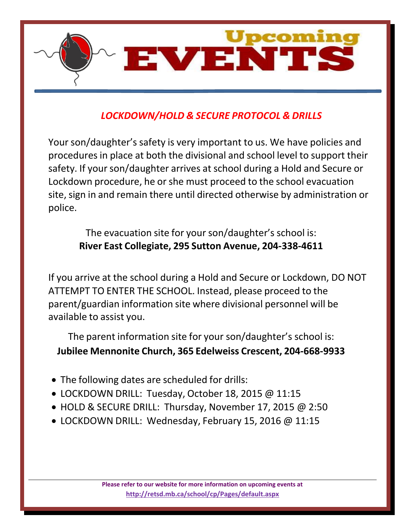

# *LOCKDOWN/HOLD & SECURE PROTOCOL & DRILLS*

Your son/daughter's safety is very important to us. We have policies and procedures in place at both the divisional and school level to support their safety. If your son/daughter arrives at school during a Hold and Secure or Lockdown procedure, he or she must proceed to the school evacuation site, sign in and remain there until directed otherwise by administration or police.

The evacuation site for your son/daughter's school is: **River East Collegiate, 295 Sutton Avenue, 204-338-4611**

If you arrive at the school during a Hold and Secure or Lockdown, DO NOT ATTEMPT TO ENTER THE SCHOOL. Instead, please proceed to the parent/guardian information site where divisional personnel will be available to assist you.

The parent information site for your son/daughter's school is: **Jubilee Mennonite Church, 365 Edelweiss Crescent, 204-668-9933**

- The following dates are scheduled for drills:
- LOCKDOWN DRILL: Tuesday, October 18, 2015 @ 11:15
- HOLD & SECURE DRILL: Thursday, November 17, 2015 @ 2:50
- LOCKDOWN DRILL: Wednesday, February 15, 2016 @ 11:15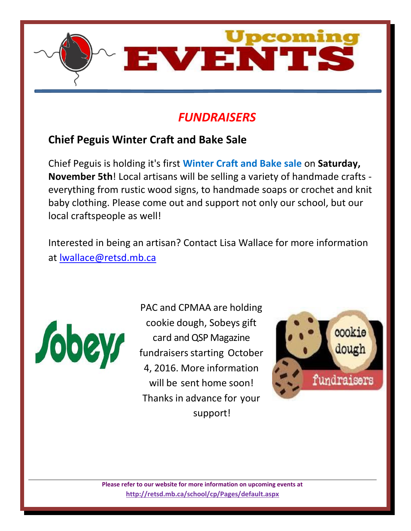

# *FUNDRAISERS*

# **Chief Peguis Winter Craft and Bake Sale**

Chief Peguis is holding it's first **Winter Craft and Bake sale** on **Saturday, November 5th**! Local artisans will be selling a variety of handmade crafts everything from rustic wood signs, to handmade soaps or crochet and knit baby clothing. Please come out and support not only our school, but our local craftspeople as well!

Interested in being an artisan? Contact Lisa Wallace for more information at [lwallace@retsd.mb.ca](mailto:lwallace@retsd.mb.ca)



PAC and CPMAA are holding cookie dough, Sobeys gift card and QSP Magazine fundraisers starting October 4, 2016. More information will be sent home soon! Thanks in advance for your support!

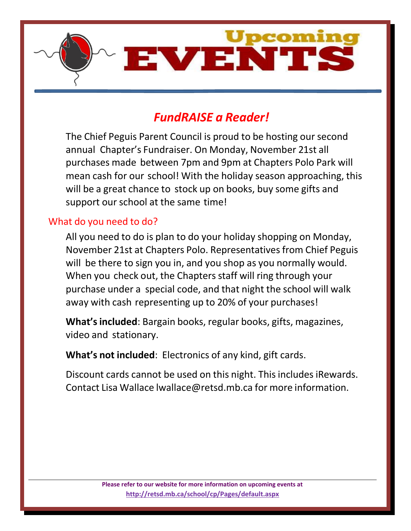

# *FundRAISE a Reader!*

The Chief Peguis Parent Council is proud to be hosting our second annual Chapter's Fundraiser. On Monday, November 21st all purchases made between 7pm and 9pm at Chapters Polo Park will mean cash for our school! With the holiday season approaching, this will be a great chance to stock up on books, buy some gifts and support our school at the same time!

#### What do you need to do?

All you need to do is plan to do your holiday shopping on Monday, November 21st at Chapters Polo. Representativesfrom Chief Peguis will be there to sign you in, and you shop as you normally would. When you check out, the Chapters staff will ring through your purchase under a special code, and that night the school will walk away with cash representing up to 20% of your purchases!

**What'sincluded**: Bargain books, regular books, gifts, magazines, video and stationary.

**What's not included**: Electronics of any kind, gift cards.

Discount cards cannot be used on this night. This includes iRewards. Contact Lisa Wallace [lwallace@retsd.mb.ca](mailto:lwallace@retsd.mb.ca) for more information.